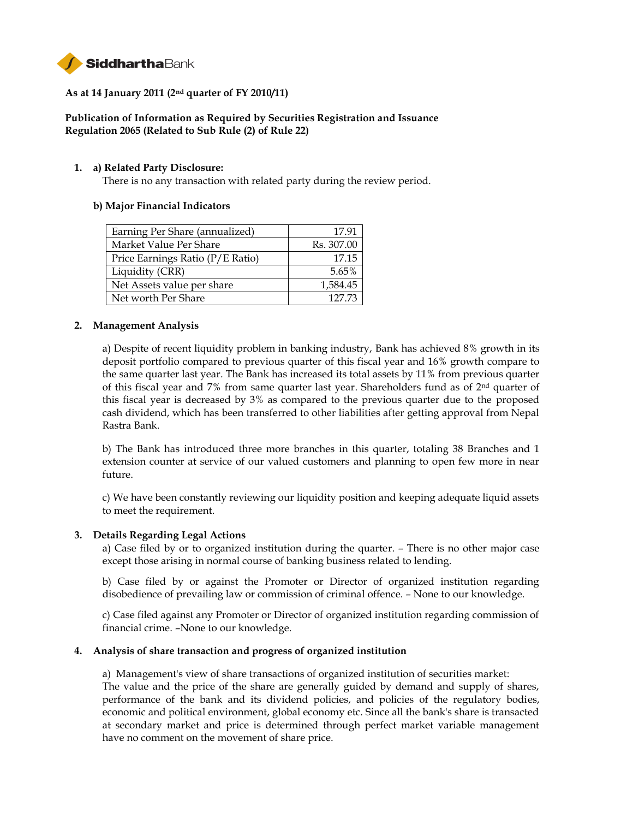

## **As at 14 January 2011 (2nd quarter of FY 2010/11)**

# **Publication of Information as Required by Securities Registration and Issuance Regulation 2065 (Related to Sub Rule (2) of Rule 22)**

### **1. a) Related Party Disclosure:**

There is no any transaction with related party during the review period.

### **b) Major Financial Indicators**

| Earning Per Share (annualized)   | 17.91      |
|----------------------------------|------------|
| Market Value Per Share           | Rs. 307.00 |
| Price Earnings Ratio (P/E Ratio) | 17.15      |
| Liquidity (CRR)                  | 5.65%      |
| Net Assets value per share       | 1,584.45   |
| Net worth Per Share              | 12773      |

### **2. Management Analysis**

a) Despite of recent liquidity problem in banking industry, Bank has achieved 8% growth in its deposit portfolio compared to previous quarter of this fiscal year and 16% growth compare to the same quarter last year. The Bank has increased its total assets by 11% from previous quarter of this fiscal year and 7% from same quarter last year. Shareholders fund as of  $2<sup>nd</sup>$  quarter of this fiscal year is decreased by 3% as compared to the previous quarter due to the proposed cash dividend, which has been transferred to other liabilities after getting approval from Nepal Rastra Bank.

b) The Bank has introduced three more branches in this quarter, totaling 38 Branches and 1 extension counter at service of our valued customers and planning to open few more in near future.

c) We have been constantly reviewing our liquidity position and keeping adequate liquid assets to meet the requirement.

### **3. Details Regarding Legal Actions**

a) Case filed by or to organized institution during the quarter. – There is no other major case except those arising in normal course of banking business related to lending.

b) Case filed by or against the Promoter or Director of organized institution regarding disobedience of prevailing law or commission of criminal offence. – None to our knowledge.

c) Case filed against any Promoter or Director of organized institution regarding commission of financial crime. –None to our knowledge.

### **4. Analysis of share transaction and progress of organized institution**

a) Management's view of share transactions of organized institution of securities market: The value and the price of the share are generally guided by demand and supply of shares, performance of the bank and its dividend policies, and policies of the regulatory bodies, economic and political environment, global economy etc. Since all the bank's share is transacted at secondary market and price is determined through perfect market variable management have no comment on the movement of share price.